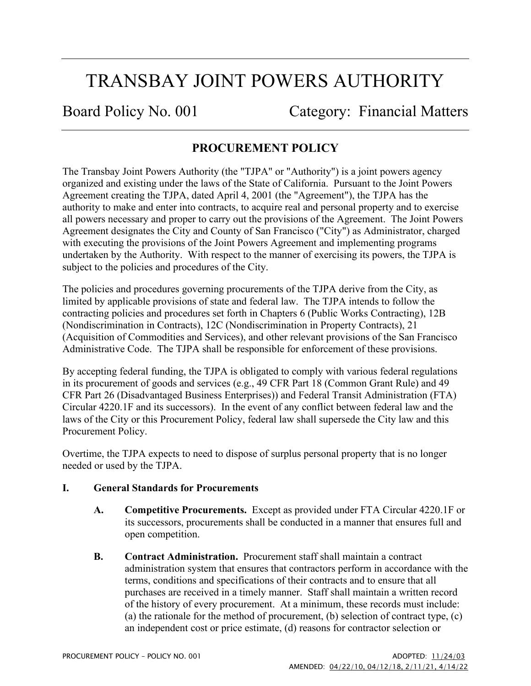# TRANSBAY JOINT POWERS AUTHORITY

Board Policy No. 001 Category: Financial Matters

## **PROCUREMENT POLICY**

The Transbay Joint Powers Authority (the "TJPA" or "Authority") is a joint powers agency organized and existing under the laws of the State of California. Pursuant to the Joint Powers Agreement creating the TJPA, dated April 4, 2001 (the "Agreement"), the TJPA has the authority to make and enter into contracts, to acquire real and personal property and to exercise all powers necessary and proper to carry out the provisions of the Agreement. The Joint Powers Agreement designates the City and County of San Francisco ("City") as Administrator, charged with executing the provisions of the Joint Powers Agreement and implementing programs undertaken by the Authority. With respect to the manner of exercising its powers, the TJPA is subject to the policies and procedures of the City.

The policies and procedures governing procurements of the TJPA derive from the City, as limited by applicable provisions of state and federal law. The TJPA intends to follow the contracting policies and procedures set forth in Chapters 6 (Public Works Contracting), 12B (Nondiscrimination in Contracts), 12C (Nondiscrimination in Property Contracts), 21 (Acquisition of Commodities and Services), and other relevant provisions of the San Francisco Administrative Code. The TJPA shall be responsible for enforcement of these provisions.

By accepting federal funding, the TJPA is obligated to comply with various federal regulations in its procurement of goods and services (e.g., 49 CFR Part 18 (Common Grant Rule) and 49 CFR Part 26 (Disadvantaged Business Enterprises)) and Federal Transit Administration (FTA) Circular 4220.1F and its successors). In the event of any conflict between federal law and the laws of the City or this Procurement Policy, federal law shall supersede the City law and this Procurement Policy.

Overtime, the TJPA expects to need to dispose of surplus personal property that is no longer needed or used by the TJPA.

## **I. General Standards for Procurements**

- **A. Competitive Procurements.** Except as provided under FTA Circular 4220.1F or its successors, procurements shall be conducted in a manner that ensures full and open competition.
- **B. Contract Administration.** Procurement staff shall maintain a contract administration system that ensures that contractors perform in accordance with the terms, conditions and specifications of their contracts and to ensure that all purchases are received in a timely manner. Staff shall maintain a written record of the history of every procurement. At a minimum, these records must include: (a) the rationale for the method of procurement, (b) selection of contract type, (c) an independent cost or price estimate, (d) reasons for contractor selection or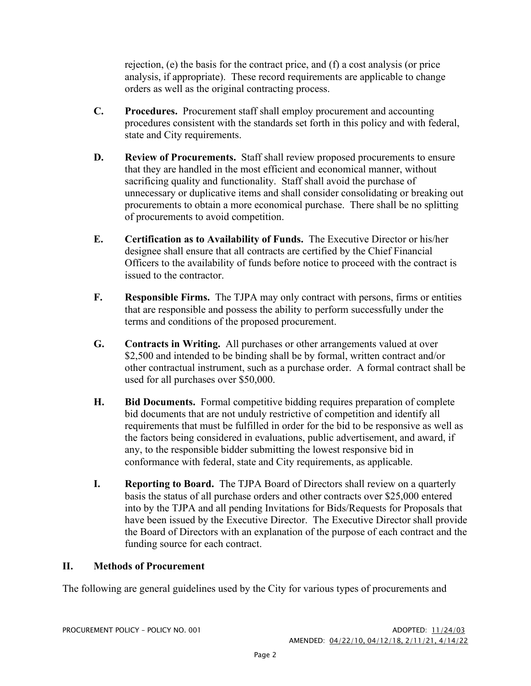rejection, (e) the basis for the contract price, and (f) a cost analysis (or price analysis, if appropriate). These record requirements are applicable to change orders as well as the original contracting process.

- **C. Procedures.** Procurement staff shall employ procurement and accounting procedures consistent with the standards set forth in this policy and with federal, state and City requirements.
- **D. Review of Procurements.** Staff shall review proposed procurements to ensure that they are handled in the most efficient and economical manner, without sacrificing quality and functionality. Staff shall avoid the purchase of unnecessary or duplicative items and shall consider consolidating or breaking out procurements to obtain a more economical purchase. There shall be no splitting of procurements to avoid competition.
- **E. Certification as to Availability of Funds.** The Executive Director or his/her designee shall ensure that all contracts are certified by the Chief Financial Officers to the availability of funds before notice to proceed with the contract is issued to the contractor.
- **F. Responsible Firms.** The TJPA may only contract with persons, firms or entities that are responsible and possess the ability to perform successfully under the terms and conditions of the proposed procurement.
- **G. Contracts in Writing.** All purchases or other arrangements valued at over \$2,500 and intended to be binding shall be by formal, written contract and/or other contractual instrument, such as a purchase order. A formal contract shall be used for all purchases over \$50,000.
- **H. Bid Documents.** Formal competitive bidding requires preparation of complete bid documents that are not unduly restrictive of competition and identify all requirements that must be fulfilled in order for the bid to be responsive as well as the factors being considered in evaluations, public advertisement, and award, if any, to the responsible bidder submitting the lowest responsive bid in conformance with federal, state and City requirements, as applicable.
- **I. Reporting to Board.** The TJPA Board of Directors shall review on a quarterly basis the status of all purchase orders and other contracts over \$25,000 entered into by the TJPA and all pending Invitations for Bids/Requests for Proposals that have been issued by the Executive Director. The Executive Director shall provide the Board of Directors with an explanation of the purpose of each contract and the funding source for each contract.

## **II. Methods of Procurement**

The following are general guidelines used by the City for various types of procurements and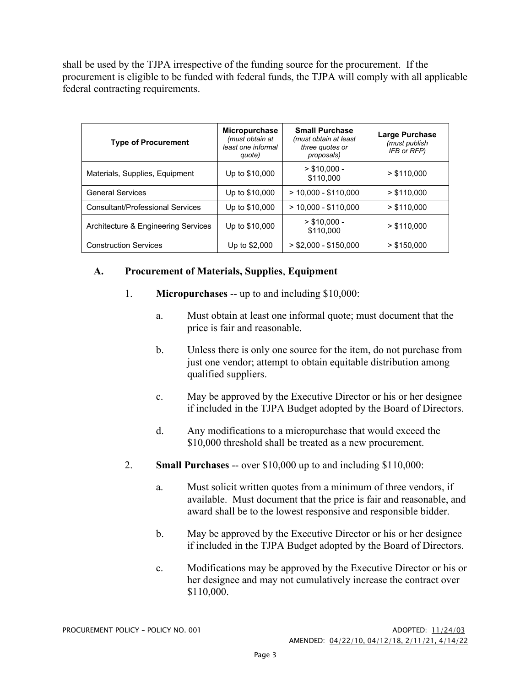shall be used by the TJPA irrespective of the funding source for the procurement. If the procurement is eligible to be funded with federal funds, the TJPA will comply with all applicable federal contracting requirements.

| <b>Type of Procurement</b>          | <b>Micropurchase</b><br>(must obtain at<br>least one informal<br>quote) | <b>Small Purchase</b><br>(must obtain at least<br>three quotes or<br>proposals) | <b>Large Purchase</b><br>(must publish<br>IFB or RFP) |
|-------------------------------------|-------------------------------------------------------------------------|---------------------------------------------------------------------------------|-------------------------------------------------------|
| Materials, Supplies, Equipment      | Up to \$10,000                                                          | $> $10,000 -$<br>\$110,000                                                      | > \$110.000                                           |
| <b>General Services</b>             | Up to \$10,000                                                          | $>$ 10,000 - \$110,000                                                          | > \$110.000                                           |
| Consultant/Professional Services    | Up to \$10,000                                                          | $> 10,000 - $110,000$                                                           | > \$110.000                                           |
| Architecture & Engineering Services | Up to \$10,000                                                          | $>$ \$10.000 -<br>\$110,000                                                     | > \$110,000                                           |
| <b>Construction Services</b>        | Up to \$2,000                                                           | $>$ \$2,000 - \$150,000                                                         | $>$ \$150,000                                         |

## **A. Procurement of Materials, Supplies**, **Equipment**

- 1. **Micropurchases** -- up to and including \$10,000:
	- a. Must obtain at least one informal quote; must document that the price is fair and reasonable.
	- b. Unless there is only one source for the item, do not purchase from just one vendor; attempt to obtain equitable distribution among qualified suppliers.
	- c. May be approved by the Executive Director or his or her designee if included in the TJPA Budget adopted by the Board of Directors.
	- d. Any modifications to a micropurchase that would exceed the \$10,000 threshold shall be treated as a new procurement.
- 2. **Small Purchases** -- over \$10,000 up to and including \$110,000:
	- a. Must solicit written quotes from a minimum of three vendors, if available. Must document that the price is fair and reasonable, and award shall be to the lowest responsive and responsible bidder.
	- b. May be approved by the Executive Director or his or her designee if included in the TJPA Budget adopted by the Board of Directors.
	- c. Modifications may be approved by the Executive Director or his or her designee and may not cumulatively increase the contract over \$110,000.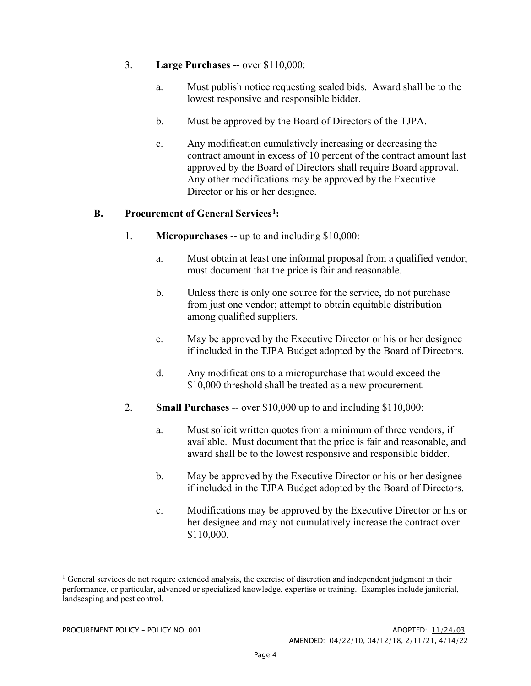#### 3. **Large Purchases --** over \$110,000:

- a. Must publish notice requesting sealed bids. Award shall be to the lowest responsive and responsible bidder.
- b. Must be approved by the Board of Directors of the TJPA.
- c. Any modification cumulatively increasing or decreasing the contract amount in excess of 10 percent of the contract amount last approved by the Board of Directors shall require Board approval. Any other modifications may be approved by the Executive Director or his or her designee.

## **B. Procurement of General Services[1](#page-3-0):**

- 1. **Micropurchases** -- up to and including \$10,000:
	- a. Must obtain at least one informal proposal from a qualified vendor; must document that the price is fair and reasonable.
	- b. Unless there is only one source for the service, do not purchase from just one vendor; attempt to obtain equitable distribution among qualified suppliers.
	- c. May be approved by the Executive Director or his or her designee if included in the TJPA Budget adopted by the Board of Directors.
	- d. Any modifications to a micropurchase that would exceed the \$10,000 threshold shall be treated as a new procurement.
- 2. **Small Purchases** -- over \$10,000 up to and including \$110,000:
	- a. Must solicit written quotes from a minimum of three vendors, if available. Must document that the price is fair and reasonable, and award shall be to the lowest responsive and responsible bidder.
	- b. May be approved by the Executive Director or his or her designee if included in the TJPA Budget adopted by the Board of Directors.
	- c. Modifications may be approved by the Executive Director or his or her designee and may not cumulatively increase the contract over \$110,000.

<span id="page-3-0"></span> $1$  General services do not require extended analysis, the exercise of discretion and independent judgment in their performance, or particular, advanced or specialized knowledge, expertise or training. Examples include janitorial, landscaping and pest control.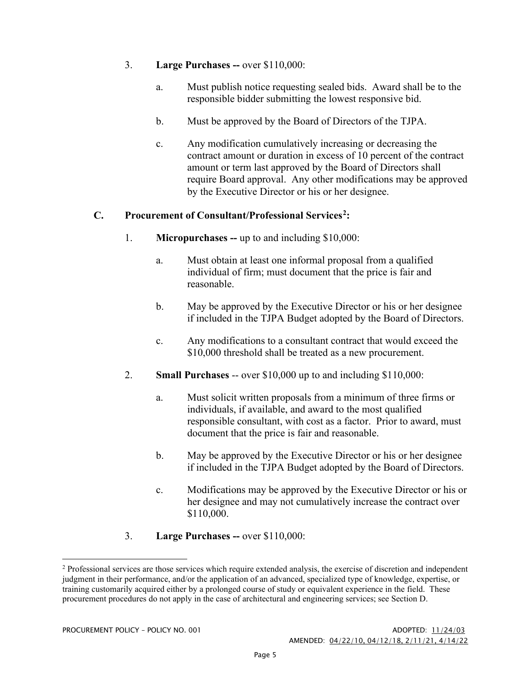## 3. **Large Purchases --** over \$110,000:

- a. Must publish notice requesting sealed bids. Award shall be to the responsible bidder submitting the lowest responsive bid.
- b. Must be approved by the Board of Directors of the TJPA.
- c. Any modification cumulatively increasing or decreasing the contract amount or duration in excess of 10 percent of the contract amount or term last approved by the Board of Directors shall require Board approval. Any other modifications may be approved by the Executive Director or his or her designee.

## **C. Procurement of Consultant/Professional Services[2:](#page-4-0)**

- 1. **Micropurchases --** up to and including \$10,000:
	- a. Must obtain at least one informal proposal from a qualified individual of firm; must document that the price is fair and reasonable.
	- b. May be approved by the Executive Director or his or her designee if included in the TJPA Budget adopted by the Board of Directors.
	- c. Any modifications to a consultant contract that would exceed the \$10,000 threshold shall be treated as a new procurement.
- 2. **Small Purchases** -- over \$10,000 up to and including \$110,000:
	- a. Must solicit written proposals from a minimum of three firms or individuals, if available, and award to the most qualified responsible consultant, with cost as a factor. Prior to award, must document that the price is fair and reasonable.
	- b. May be approved by the Executive Director or his or her designee if included in the TJPA Budget adopted by the Board of Directors.
	- c. Modifications may be approved by the Executive Director or his or her designee and may not cumulatively increase the contract over \$110,000.
- 3. **Large Purchases --** over \$110,000:

<span id="page-4-0"></span><sup>&</sup>lt;sup>2</sup> Professional services are those services which require extended analysis, the exercise of discretion and independent judgment in their performance, and/or the application of an advanced, specialized type of knowledge, expertise, or training customarily acquired either by a prolonged course of study or equivalent experience in the field. These procurement procedures do not apply in the case of architectural and engineering services; see Section D.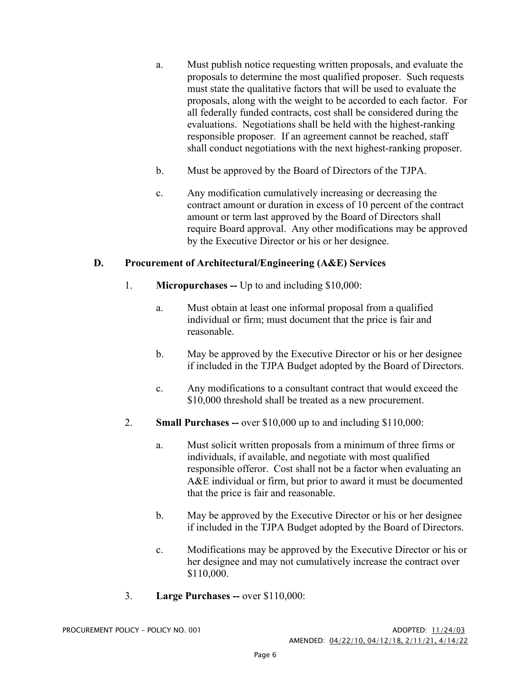- a. Must publish notice requesting written proposals, and evaluate the proposals to determine the most qualified proposer. Such requests must state the qualitative factors that will be used to evaluate the proposals, along with the weight to be accorded to each factor. For all federally funded contracts, cost shall be considered during the evaluations. Negotiations shall be held with the highest-ranking responsible proposer. If an agreement cannot be reached, staff shall conduct negotiations with the next highest-ranking proposer.
- b. Must be approved by the Board of Directors of the TJPA.
- c. Any modification cumulatively increasing or decreasing the contract amount or duration in excess of 10 percent of the contract amount or term last approved by the Board of Directors shall require Board approval. Any other modifications may be approved by the Executive Director or his or her designee.

## **D. Procurement of Architectural/Engineering (A&E) Services**

- 1. **Micropurchases --** Up to and including \$10,000:
	- a. Must obtain at least one informal proposal from a qualified individual or firm; must document that the price is fair and reasonable.
	- b. May be approved by the Executive Director or his or her designee if included in the TJPA Budget adopted by the Board of Directors.
	- c. Any modifications to a consultant contract that would exceed the \$10,000 threshold shall be treated as a new procurement.
- 2. **Small Purchases --** over \$10,000 up to and including \$110,000:
	- a. Must solicit written proposals from a minimum of three firms or individuals, if available, and negotiate with most qualified responsible offeror. Cost shall not be a factor when evaluating an A&E individual or firm, but prior to award it must be documented that the price is fair and reasonable.
	- b. May be approved by the Executive Director or his or her designee if included in the TJPA Budget adopted by the Board of Directors.
	- c. Modifications may be approved by the Executive Director or his or her designee and may not cumulatively increase the contract over \$110,000.
- 3. **Large Purchases --** over \$110,000: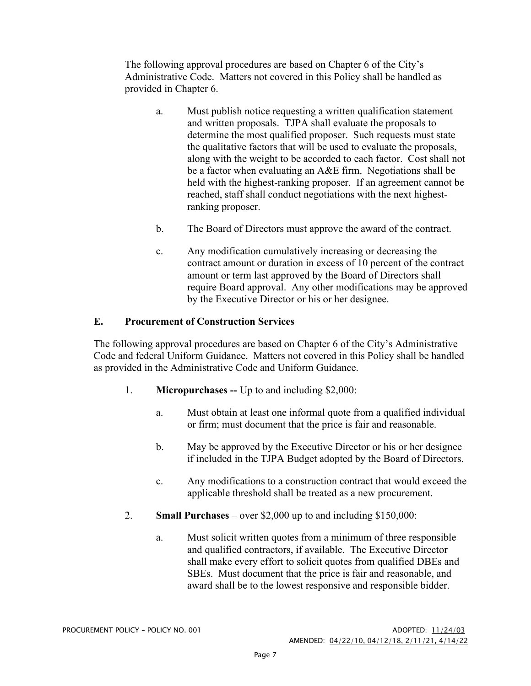The following approval procedures are based on Chapter 6 of the City's Administrative Code. Matters not covered in this Policy shall be handled as provided in Chapter 6.

- a. Must publish notice requesting a written qualification statement and written proposals. TJPA shall evaluate the proposals to determine the most qualified proposer. Such requests must state the qualitative factors that will be used to evaluate the proposals, along with the weight to be accorded to each factor. Cost shall not be a factor when evaluating an A&E firm. Negotiations shall be held with the highest-ranking proposer. If an agreement cannot be reached, staff shall conduct negotiations with the next highestranking proposer.
- b. The Board of Directors must approve the award of the contract.
- c. Any modification cumulatively increasing or decreasing the contract amount or duration in excess of 10 percent of the contract amount or term last approved by the Board of Directors shall require Board approval. Any other modifications may be approved by the Executive Director or his or her designee.

#### **E. Procurement of Construction Services**

The following approval procedures are based on Chapter 6 of the City's Administrative Code and federal Uniform Guidance. Matters not covered in this Policy shall be handled as provided in the Administrative Code and Uniform Guidance.

- 1. **Micropurchases --** Up to and including \$2,000:
	- a. Must obtain at least one informal quote from a qualified individual or firm; must document that the price is fair and reasonable.
	- b. May be approved by the Executive Director or his or her designee if included in the TJPA Budget adopted by the Board of Directors.
	- c. Any modifications to a construction contract that would exceed the applicable threshold shall be treated as a new procurement.
- 2. **Small Purchases**  over \$2,000 up to and including \$150,000:
	- a. Must solicit written quotes from a minimum of three responsible and qualified contractors, if available. The Executive Director shall make every effort to solicit quotes from qualified DBEs and SBEs. Must document that the price is fair and reasonable, and award shall be to the lowest responsive and responsible bidder.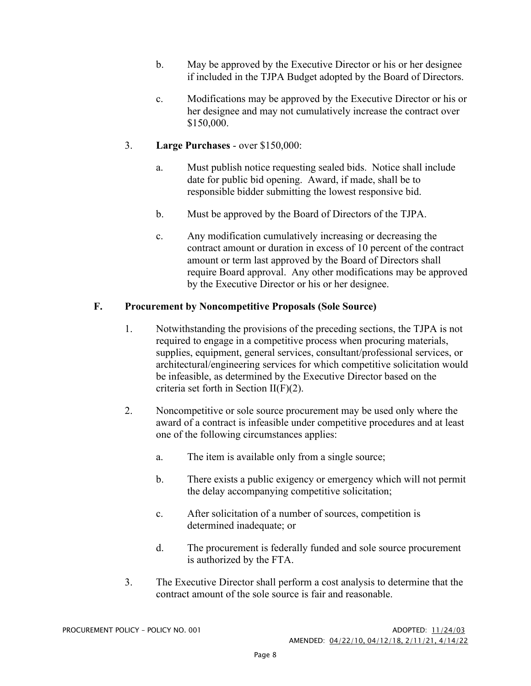- b. May be approved by the Executive Director or his or her designee if included in the TJPA Budget adopted by the Board of Directors.
- c. Modifications may be approved by the Executive Director or his or her designee and may not cumulatively increase the contract over \$150,000.

#### 3. **Large Purchases** - over \$150,000:

- a. Must publish notice requesting sealed bids. Notice shall include date for public bid opening. Award, if made, shall be to responsible bidder submitting the lowest responsive bid.
- b. Must be approved by the Board of Directors of the TJPA.
- c. Any modification cumulatively increasing or decreasing the contract amount or duration in excess of 10 percent of the contract amount or term last approved by the Board of Directors shall require Board approval. Any other modifications may be approved by the Executive Director or his or her designee.

#### **F. Procurement by Noncompetitive Proposals (Sole Source)**

- 1. Notwithstanding the provisions of the preceding sections, the TJPA is not required to engage in a competitive process when procuring materials, supplies, equipment, general services, consultant/professional services, or architectural/engineering services for which competitive solicitation would be infeasible, as determined by the Executive Director based on the criteria set forth in Section II(F)(2).
- 2. Noncompetitive or sole source procurement may be used only where the award of a contract is infeasible under competitive procedures and at least one of the following circumstances applies:
	- a. The item is available only from a single source;
	- b. There exists a public exigency or emergency which will not permit the delay accompanying competitive solicitation;
	- c. After solicitation of a number of sources, competition is determined inadequate; or
	- d. The procurement is federally funded and sole source procurement is authorized by the FTA.
- 3. The Executive Director shall perform a cost analysis to determine that the contract amount of the sole source is fair and reasonable.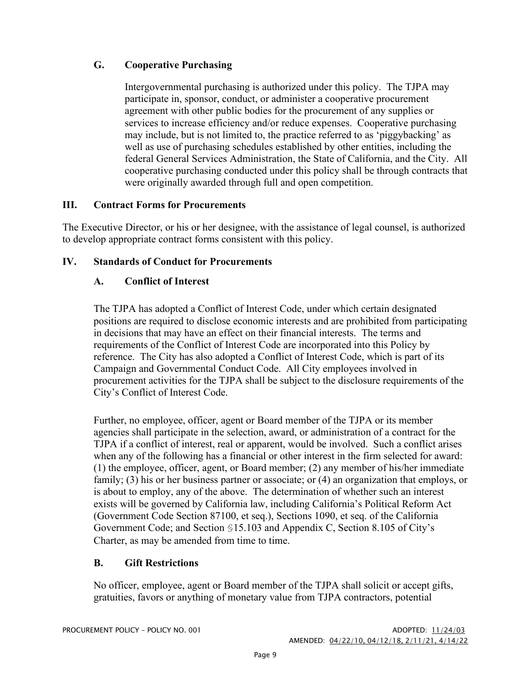## **G. Cooperative Purchasing**

Intergovernmental purchasing is authorized under this policy. The TJPA may participate in, sponsor, conduct, or administer a cooperative procurement agreement with other public bodies for the procurement of any supplies or services to increase efficiency and/or reduce expenses. Cooperative purchasing may include, but is not limited to, the practice referred to as 'piggybacking' as well as use of purchasing schedules established by other entities, including the federal General Services Administration, the State of California, and the City. All cooperative purchasing conducted under this policy shall be through contracts that were originally awarded through full and open competition.

## **III. Contract Forms for Procurements**

The Executive Director, or his or her designee, with the assistance of legal counsel, is authorized to develop appropriate contract forms consistent with this policy.

## **IV. Standards of Conduct for Procurements**

## **A. Conflict of Interest**

The TJPA has adopted a Conflict of Interest Code, under which certain designated positions are required to disclose economic interests and are prohibited from participating in decisions that may have an effect on their financial interests. The terms and requirements of the Conflict of Interest Code are incorporated into this Policy by reference. The City has also adopted a Conflict of Interest Code, which is part of its Campaign and Governmental Conduct Code. All City employees involved in procurement activities for the TJPA shall be subject to the disclosure requirements of the City's Conflict of Interest Code.

Further, no employee, officer, agent or Board member of the TJPA or its member agencies shall participate in the selection, award, or administration of a contract for the TJPA if a conflict of interest, real or apparent, would be involved. Such a conflict arises when any of the following has a financial or other interest in the firm selected for award: (1) the employee, officer, agent, or Board member; (2) any member of his/her immediate family; (3) his or her business partner or associate; or (4) an organization that employs, or is about to employ, any of the above. The determination of whether such an interest exists will be governed by California law, including California's Political Reform Act (Government Code Section 87100, et seq.), Sections 1090, et seq. of the California Government Code; and Section §15.103 and Appendix C, Section 8.105 of City's Charter, as may be amended from time to time.

## **B. Gift Restrictions**

No officer, employee, agent or Board member of the TJPA shall solicit or accept gifts, gratuities, favors or anything of monetary value from TJPA contractors, potential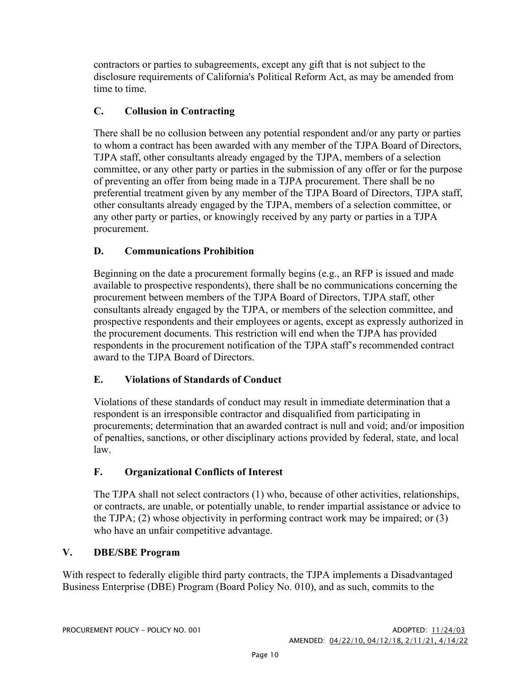contractors or parties to subagreements, except any gift that is not subject to the disclosure requirements of California's Political Reform Act, as may be amended from time to time.

## **C. Collusion in Contracting**

There shall be no collusion between any potential respondent and/or any party or parties to whom a contract has been awarded with any member of the TJPA Board of Directors, TJPA staff, other consultants already engaged by the TJPA, members of a selection committee, or any other party or parties in the submission of any offer or for the purpose of preventing an offer from being made in a TJPA procurement. There shall be no preferential treatment given by any member of the TJPA Board of Directors, TJPA staff, other consultants already engaged by the TJPA, members of a selection committee, or any other party or parties, or knowingly received by any party or parties in a TJPA procurement.

## **D. Communications Prohibition**

Beginning on the date a procurement formally begins (e.g., an RFP is issued and made available to prospective respondents), there shall be no communications concerning the procurement between members of the TJPA Board of Directors, TJPA staff, other consultants already engaged by the TJPA, or members of the selection committee, and prospective respondents and their employees or agents, except as expressly authorized in the procurement documents. This restriction will end when the TJPA has provided respondents in the procurement notification of the TJPA staff's recommended contract award to the TJPA Board of Directors.

## **E. Violations of Standards of Conduct**

Violations of these standards of conduct may result in immediate determination that a respondent is an irresponsible contractor and disqualified from participating in procurements; determination that an awarded contract is null and void; and/or imposition of penalties, sanctions, or other disciplinary actions provided by federal, state, and local law.

## **F. Organizational Conflicts of Interest**

The TJPA shall not select contractors (1) who, because of other activities, relationships, or contracts, are unable, or potentially unable, to render impartial assistance or advice to the TJPA; (2) whose objectivity in performing contract work may be impaired; or (3) who have an unfair competitive advantage.

## **V. DBE/SBE Program**

With respect to federally eligible third party contracts, the TJPA implements a Disadvantaged Business Enterprise (DBE) Program (Board Policy No. 010), and as such, commits to the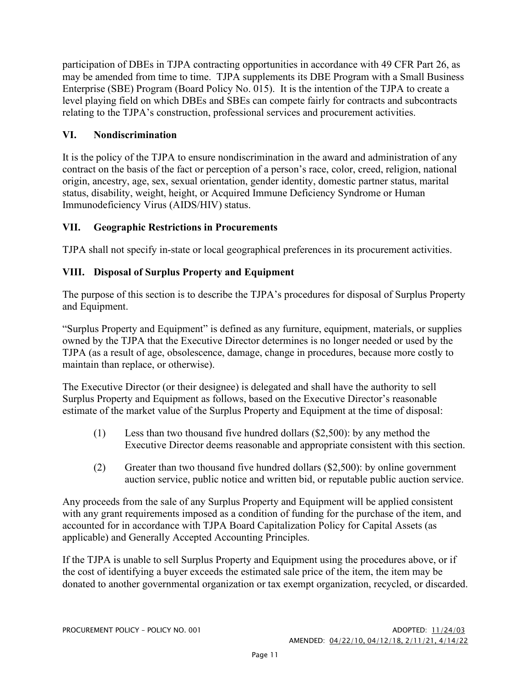participation of DBEs in TJPA contracting opportunities in accordance with 49 CFR Part 26, as may be amended from time to time. TJPA supplements its DBE Program with a Small Business Enterprise (SBE) Program (Board Policy No. 015). It is the intention of the TJPA to create a level playing field on which DBEs and SBEs can compete fairly for contracts and subcontracts relating to the TJPA's construction, professional services and procurement activities.

## **VI. Nondiscrimination**

It is the policy of the TJPA to ensure nondiscrimination in the award and administration of any contract on the basis of the fact or perception of a person's race, color, creed, religion, national origin, ancestry, age, sex, sexual orientation, gender identity, domestic partner status, marital status, disability, weight, height, or Acquired Immune Deficiency Syndrome or Human Immunodeficiency Virus (AIDS/HIV) status.

## **VII. Geographic Restrictions in Procurements**

TJPA shall not specify in-state or local geographical preferences in its procurement activities.

## **VIII. Disposal of Surplus Property and Equipment**

The purpose of this section is to describe the TJPA's procedures for disposal of Surplus Property and Equipment.

"Surplus Property and Equipment" is defined as any furniture, equipment, materials, or supplies owned by the TJPA that the Executive Director determines is no longer needed or used by the TJPA (as a result of age, obsolescence, damage, change in procedures, because more costly to maintain than replace, or otherwise).

The Executive Director (or their designee) is delegated and shall have the authority to sell Surplus Property and Equipment as follows, based on the Executive Director's reasonable estimate of the market value of the Surplus Property and Equipment at the time of disposal:

- (1) Less than two thousand five hundred dollars (\$2,500): by any method the Executive Director deems reasonable and appropriate consistent with this section.
- (2) Greater than two thousand five hundred dollars (\$2,500): by online government auction service, public notice and written bid, or reputable public auction service.

Any proceeds from the sale of any Surplus Property and Equipment will be applied consistent with any grant requirements imposed as a condition of funding for the purchase of the item, and accounted for in accordance with TJPA Board Capitalization Policy for Capital Assets (as applicable) and Generally Accepted Accounting Principles.

If the TJPA is unable to sell Surplus Property and Equipment using the procedures above, or if the cost of identifying a buyer exceeds the estimated sale price of the item, the item may be donated to another governmental organization or tax exempt organization, recycled, or discarded.